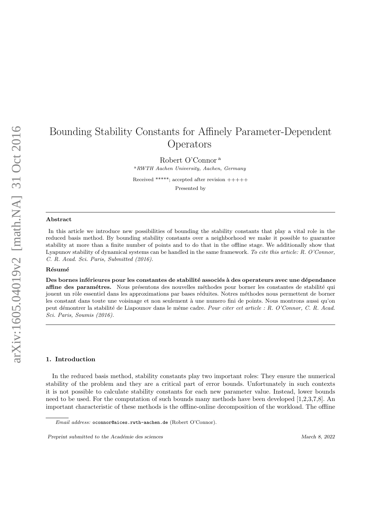# Bounding Stability Constants for Affinely Parameter-Dependent Operators

Robert O'Connor <sup>a</sup>

<sup>a</sup>RWTH Aachen University, Aachen, Germany

Received \*\*\*\*\*; accepted after revision +++++ Presented by

#### Abstract

In this article we introduce new possibilities of bounding the stability constants that play a vital role in the reduced basis method. By bounding stability constants over a neighborhood we make it possible to guarantee stability at more than a finite number of points and to do that in the offline stage. We additionally show that Lyapunov stability of dynamical systems can be handled in the same framework. To cite this article: R. O'Connor, C. R. Acad. Sci. Paris, Submitted (2016).

## Résumé

Des bornes inférieures pour les constantes de stabilité associés à des operateurs avec une dépendance affine des paramétres. Nous présentons des nouvelles méthodes pour borner les constantes de stabilité qui jouent un rôle essentiel dans les approximations par bases réduites. Notres méthodes nous permettent de borner les constant dans toute une voisinage et non seulement à une numero fini de points. Nous montrons aussi qu'on peut démontrer la stabilité de Liapounov dans le même cadre. Pour citer cet article : R. O'Connor, C. R. Acad. Sci. Paris, Soumis (2016).

## 1. Introduction

In the reduced basis method, stability constants play two important roles: They ensure the numerical stability of the problem and they are a critical part of error bounds. Unfortunately in such contexts it is not possible to calculate stability constants for each new parameter value. Instead, lower bounds need to be used. For the computation of such bounds many methods have been developed [1,2,3,7,8]. An important characteristic of these methods is the offline-online decomposition of the workload. The offline

Email address: oconnor@aices.rwth-aachen.de (Robert O'Connor).

Preprint submitted to the Académie des sciences March 8, 2022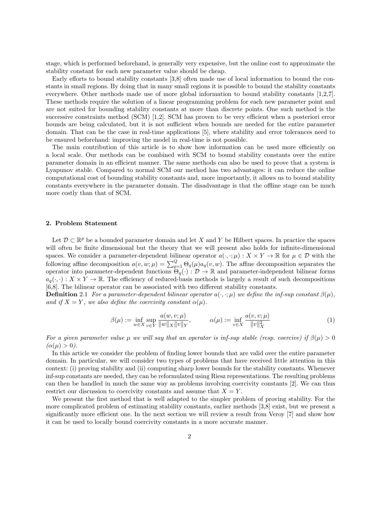stage, which is performed beforehand, is generally very expensive, but the online cost to approximate the stability constant for each new parameter value should be cheap.

Early efforts to bound stability constants [3,8] often made use of local information to bound the constants in small regions. By doing that in many small regions it is possible to bound the stability constants everywhere. Other methods made use of more global information to bound stability constants [1,2,7]. These methods require the solution of a linear programming problem for each new parameter point and are not suited for bounding stability constants at more than discrete points. One such method is the successive constraints method (SCM) [1,2]. SCM has proven to be very efficient when a posteriori error bounds are being calculated, but it is not sufficient when bounds are needed for the entire parameter domain. That can be the case in real-time applications [5], where stability and error tolerances need to be ensured beforehand: improving the model in real-time is not possible.

The main contribution of this article is to show how information can be used more efficiently on a local scale. Our methods can be combined with SCM to bound stability constants over the entire parameter domain in an efficient manner. The same methods can also be used to prove that a system is Lyapunov stable. Compared to normal SCM our method has two advantages: it can reduce the online computational cost of bounding stability constants and, more importantly, it allows us to bound stability constants everywhere in the parameter domain. The disadvantage is that the offline stage can be much more costly than that of SCM.

## 2. Problem Statement

Let  $\mathcal{D} \subset \mathbb{R}^p$  be a bounded parameter domain and let X and Y be Hilbert spaces. In practice the spaces will often be finite dimensional but the theory that we will present also holds for infinite-dimensional spaces. We consider a parameter-dependent bilinear operator  $a(\cdot, \cdot; \mu) : X \times Y \to \mathbb{R}$  for  $\mu \in \mathcal{D}$  with the following affine decomposition  $a(v, w; \mu) = \sum_{q=1}^{Q} \Theta_q(\mu) a_q(v, w)$ . The affine decomposition separates the operator into parameter-dependent functions  $\overline{\Theta_q}(\cdot): \mathcal{D} \to \mathbb{R}$  and parameter-independent bilinear forms  $a_q(\cdot, \cdot): X \times Y \to \mathbb{R}$ . The efficiency of reduced-basis methods is largely a result of such decompositions [6,8]. The bilinear operator can be associated with two different stability constants.

**Definition** 2.1 For a parameter-dependent bilinear operator  $a(\cdot, \cdot; \mu)$  we define the inf-sup constant  $\beta(\mu)$ , and if  $X = Y$ , we also define the coercivity constant  $\alpha(\mu)$ .

$$
\beta(\mu) := \inf_{w \in X} \sup_{v \in Y} \frac{a(w, v; \mu)}{\|w\|_X \|v\|_Y}, \qquad \alpha(\mu) := \inf_{v \in X} \frac{a(v, v; \mu)}{\|v\|_X^2}
$$
(1)

For a given parameter value  $\mu$  we will say that an operator is inf-sup stable (resp. coercive) if  $\beta(\mu) > 0$  $(\alpha(\mu) > 0).$ 

In this article we consider the problem of finding lower bounds that are valid over the entire parameter domain. In particular, we will consider two types of problems that have received little attention in this context: (i) proving stability and (ii) computing sharp lower bounds for the stability constants. Whenever inf-sup constants are needed, they can be reformulated using Riesz representations. The resulting problems can then be handled in much the same way as problems involving coercivity constants [2]. We can thus restrict our discussion to coercivity constants and assume that  $X = Y$ .

We present the first method that is well adapted to the simpler problem of proving stability. For the more complicated problem of estimating stability constants, earlier methods [3,8] exist, but we present a significantly more efficient one. In the next section we will review a result from Veroy [7] and show how it can be used to locally bound coercivity constants in a more accurate manner.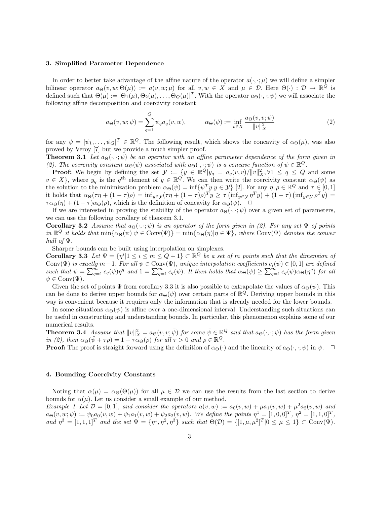## 3. Simplified Parameter Dependence

In order to better take advantage of the affine nature of the operator  $a(\cdot, \cdot; \mu)$  we will define a simpler bilinear operator  $a_{\Theta}(v, w; \Theta(\mu)) := a(v, w; \mu)$  for all  $v, w \in X$  and  $\mu \in \mathcal{D}$ . Here  $\Theta(\cdot) : \mathcal{D} \to \mathbb{R}^{\overline{Q}}$  is defined such that  $\Theta(\mu) := [\Theta_1(\mu), \Theta_2(\mu), \dots, \Theta_Q(\mu)]^T$ . With the operator  $a_{\Theta}(\cdot, \cdot; \psi)$  we will associate the following affine decomposition and coercivity constant

$$
a_{\Theta}(v, w; \psi) = \sum_{q=1}^{Q} \psi_q a_q(v, w), \qquad \alpha_{\Theta}(\psi) := \inf_{v \in X} \frac{a_{\Theta}(v, v; \psi)}{\|v\|_X^2}
$$
(2)

for any  $\psi = [\psi_1, \ldots, \psi_Q]^T \in \mathbb{R}^Q$ . The following result, which shows the concavity of  $\alpha_{\Theta}(\mu)$ , was also proved by Veroy [7] but we provide a much simpler proof.

**Theorem 3.1** Let  $a_{\Theta}(\cdot, \cdot; \psi)$  be an operator with an affine parameter dependence of the form given in (2). The coercivity constant  $\alpha_{\Theta}(\psi)$  associated with  $a_{\Theta}(\cdot, \cdot; \psi)$  is a concave function of  $\psi \in \mathbb{R}^Q$ .

**Proof:** We begin by defining the set  $\mathcal{Y} := \{y \in \mathbb{R}^Q | y_q = a_q(v, v) / ||v||_X^2, \forall 1 \le q \le Q \text{ and some }$  $v \in X$ , where  $y_q$  is the  $q^{\text{th}}$  element of  $y \in \mathbb{R}^Q$ . We can then write the coercivity constant  $\alpha_{\Theta}(\psi)$  as the solution to the minimization problem  $\alpha_{\Theta}(\psi) = \inf \{ \psi^{T} y | y \in \mathcal{Y} \}$  [2]. For any  $\eta, \rho \in \mathbb{R}^Q$  and  $\tau \in [0, 1]$ it holds that  $\alpha_{\Theta}(\tau \eta + (1 - \tau)\rho) = \inf_{y \in \mathcal{Y}} (\tau \eta + (1 - \tau)\rho)^T y \ge \tau (\inf_{y \in \mathcal{Y}} \eta^T y) + (1 - \tau) (\inf_{y \in \mathcal{Y}} \rho^T y) =$  $\tau\alpha_{\Theta}(\eta) + (1 - \tau)\alpha_{\Theta}(\rho)$ , which is the definition of concavity for  $\alpha_{\Theta}(\psi)$ .  $\Box$ 

If we are interested in proving the stability of the operator  $a_{\Theta}(\cdot, \cdot; \psi)$  over a given set of parameters, we can use the following corollary of theorem 3.1.

**Corollary 3.2** Assume that  $a_{\Theta}(\cdot, \cdot; \psi)$  is an operator of the form given in (2). For any set  $\Psi$  of points in  $\mathbb{R}^Q$  it holds that  $\min{\alpha_{\Theta}(\psi)|\psi \in \text{Conv}(\Psi)} = \min{\alpha_{\Theta}(\eta)|\eta \in \Psi}$ , where  $\text{Conv}(\Psi)$  denotes the convex hull of Ψ.

Sharper bounds can be built using interpolation on simplexes.

**Corollary 3.3** Let  $\Psi = \{\eta^i | 1 \leq i \leq m \leq Q+1\} \subset \mathbb{R}^Q$  be a set of m points such that the dimension of  $Conv(\Psi)$  is exactly  $m-1$ . For all  $\psi \in Conv(\Psi)$ , unique interpolation coefficients  $c_i(\psi) \in [0,1]$  are defined such that  $\psi = \sum_{q=1}^m c_q(\psi) \eta^q$  and  $1 = \sum_{q=1}^m c_q(\psi)$ . It then holds that  $\alpha_{\Theta}(\psi) \geq \sum_{q=1}^m c_q(\psi) \alpha_{\Theta}(\eta^q)$  for all  $\psi \in Conv(\Psi)$ .

Given the set of points  $\Psi$  from corollary 3.3 it is also possible to extrapolate the values of  $\alpha_{\Theta}(\psi)$ . This can be done to derive upper bounds for  $\alpha_{\Theta}(\psi)$  over certain parts of  $\mathbb{R}^Q$ . Deriving upper bounds in this way is convenient because it requires only the information that is already needed for the lower bounds.

In some situations  $\alpha_{\Theta}(\psi)$  is affine over a one-dimensional interval. Understanding such situations can be useful in constructing and understanding bounds. In particular, this phenomenon explains some of our numerical results.

**Theorem 3.4** Assume that  $||v||_X^2 = a_{\Theta}(v, v; \bar{\psi})$  for some  $\bar{\psi} \in \mathbb{R}^Q$  and that  $a_{\Theta}(\cdot, \cdot; \psi)$  has the form given in (2), then  $\alpha_{\Theta}(\bar{\psi}+\tau\rho)=1+\tau\alpha_{\Theta}(\rho)$  for all  $\tau>0$  and  $\rho\in\mathbb{R}^Q$ .

**Proof:** The proof is straight forward using the definition of  $\alpha_{\Theta}(\cdot)$  and the linearity of  $a_{\Theta}(\cdot, \cdot; \psi)$  in  $\psi$ .

# 4. Bounding Coercivity Constants

Noting that  $\alpha(\mu) = \alpha_{\Theta}(\Theta(\mu))$  for all  $\mu \in \mathcal{D}$  we can use the results from the last section to derive bounds for  $\alpha(\mu)$ . Let us consider a small example of our method.

Example 1 Let  $\mathcal{D} = [0,1]$ , and consider the operators  $a(v,w) := a_0(v,w) + \mu a_1(v,w) + \mu^2 a_2(v,w)$  and  $a_{\Theta}(v, w; \psi) := \psi_0 a_0(v, w) + \psi_1 a_1(v, w) + \psi_2 a_2(v, w)$ . We define the points  $\eta^1 = [1, 0, 0]^T$ ,  $\eta^2 = [1, 1, 0]^T$ , and  $\eta^3 = [1, 1, 1]^T$  and the set  $\Psi = {\eta^1, \eta^2, \eta^3}$  such that  $\Theta(\mathcal{D}) = { [1, \mu, \mu^2]^T | 0 \leq \mu \leq 1 } \subset \text{Conv}(\Psi)$ .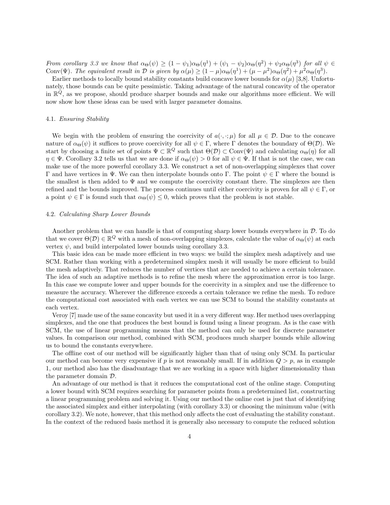From corollary 3.3 we know that  $\alpha_{\Theta}(\psi) \geq (1 - \psi_1)\alpha_{\Theta}(\eta^1) + (\psi_1 - \psi_2)\alpha_{\Theta}(\eta^2) + \psi_2\alpha_{\Theta}(\eta^3)$  for all  $\psi \in$ Conv( $\Psi$ ). The equivalent result in  $\mathcal D$  is given by  $\alpha(\mu) \geq (1 - \mu)\alpha_{\Theta}(\eta^1) + (\mu - \mu^2)\alpha_{\Theta}(\eta^2) + \mu^2\alpha_{\Theta}(\eta^3)$ .

Earlier methods to locally bound stability constants build concave lower bounds for  $\alpha(\mu)$  [3,8]. Unfortunately, those bounds can be quite pessimistic. Taking advantage of the natural concavity of the operator in  $\mathbb{R}^{\dot{Q}}$ , as we propose, should produce sharper bounds and make our algorithms more efficient. We will now show how these ideas can be used with larger parameter domains.

## 4.1. Ensuring Stability

We begin with the problem of ensuring the coercivity of  $a(\cdot, \cdot; \mu)$  for all  $\mu \in \mathcal{D}$ . Due to the concave nature of  $\alpha_{\Theta}(\psi)$  it suffices to prove coercivity for all  $\psi \in \Gamma$ , where  $\Gamma$  denotes the boundary of  $\Theta(\mathcal{D})$ . We start by choosing a finite set of points  $\Psi \subset \mathbb{R}^Q$  such that  $\Theta(\mathcal{D}) \subset \text{Conv}(\Psi)$  and calculating  $\alpha_{\Theta}(\eta)$  for all  $\eta \in \Psi$ . Corollary 3.2 tells us that we are done if  $\alpha_{\Theta}(\psi) > 0$  for all  $\psi \in \Psi$ . If that is not the case, we can make use of the more powerful corollary 3.3. We construct a set of non-overlapping simplexes that cover Γ and have vertices in Ψ. We can then interpolate bounds onto Γ. The point  $\psi \in \Gamma$  where the bound is the smallest is then added to  $\Psi$  and we compute the coercivity constant there. The simplexes are then refined and the bounds improved. The process continues until either coercivity is proven for all  $\psi \in \Gamma$ , or a point  $\psi \in \Gamma$  is found such that  $\alpha_{\Theta}(\psi) \leq 0$ , which proves that the problem is not stable.

# 4.2. Calculating Sharp Lower Bounds

Another problem that we can handle is that of computing sharp lower bounds everywhere in  $D$ . To do that we cover  $\Theta(\mathcal{D}) \in \mathbb{R}^Q$  with a mesh of non-overlapping simplexes, calculate the value of  $\alpha_{\Theta}(\psi)$  at each vertex  $\psi$ , and build interpolated lower bounds using corollary 3.3.

This basic idea can be made more efficient in two ways: we build the simplex mesh adaptively and use SCM. Rather than working with a predetermined simplex mesh it will usually be more efficient to build the mesh adaptively. That reduces the number of vertices that are needed to achieve a certain tolerance. The idea of such an adaptive methods is to refine the mesh where the approximation error is too large. In this case we compute lower and upper bounds for the coercivity in a simplex and use the difference to measure the accuracy. Wherever the difference exceeds a certain tolerance we refine the mesh. To reduce the computational cost associated with each vertex we can use SCM to bound the stability constants at each vertex.

Veroy [7] made use of the same concavity but used it in a very different way. Her method uses overlapping simplexes, and the one that produces the best bound is found using a linear program. As is the case with SCM, the use of linear programming means that the method can only be used for discrete parameter values. In comparison our method, combined with SCM, produces much sharper bounds while allowing us to bound the constants everywhere.

The offline cost of our method will be significantly higher than that of using only SCM. In particular our method can become very expensive if p is not reasonably small. If in addition  $Q > p$ , as in example 1, our method also has the disadvantage that we are working in a space with higher dimensionality than the parameter domain D.

An advantage of our method is that it reduces the computational cost of the online stage. Computing a lower bound with SCM requires searching for parameter points from a predetermined list, constructing a linear programming problem and solving it. Using our method the online cost is just that of identifying the associated simplex and either interpolating (with corollary 3.3) or choosing the minimum value (with corollary 3.2). We note, however, that this method only affects the cost of evaluating the stability constant. In the context of the reduced basis method it is generally also necessary to compute the reduced solution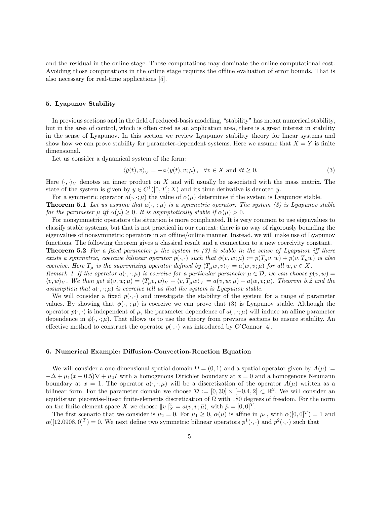and the residual in the online stage. Those computations may dominate the online computational cost. Avoiding those computations in the online stage requires the offline evaluation of error bounds. That is also necessary for real-time applications [5].

## 5. Lyapunov Stability

In previous sections and in the field of reduced-basis modeling, "stability" has meant numerical stability, but in the area of control, which is often cited as an application area, there is a great interest in stability in the sense of Lyapunov. In this section we review Lyapunov stability theory for linear systems and show how we can prove stability for parameter-dependent systems. Here we assume that  $X = Y$  is finite dimensional.

Let us consider a dynamical system of the form:

$$
\langle \dot{y}(t), v \rangle_V = -a(y(t), v; \mu), \quad \forall v \in X \text{ and } \forall t \ge 0.
$$
 (3)

Here  $\langle \cdot, \cdot \rangle_V$  denotes an inner product on X and will usually be associated with the mass matrix. The state of the system is given by  $y \in C^1([0,T];X)$  and its time derivative is denoted  $\dot{y}$ .

For a symmetric operator  $a(\cdot, \cdot; \mu)$  the value of  $\alpha(\mu)$  determines if the system is Lyapunov stable.

**Theorem 5.1** Let us assume that  $a(\cdot, \cdot; \mu)$  is a symmetric operator. The system (3) is Lyapunov stable for the parameter  $\mu$  iff  $\alpha(\mu) \geq 0$ . It is asymptotically stable if  $\alpha(\mu) > 0$ .

For nonsymmetric operators the situation is more complicated. It is very common to use eigenvalues to classify stable systems, but that is not practical in our context: there is no way of rigorously bounding the eigenvalues of nonsymmetric operators in an offline/online manner. Instead, we will make use of Lyapunov functions. The following theorem gives a classical result and a connection to a new coercivity constant.

**Theorem 5.2** For a fixed parameter  $\mu$  the system in (3) is stable in the sense of Lyapunov iff there exists a symmetric, coercive bilinear operator  $p(\cdot, \cdot)$  such that  $\phi(v, w; \mu) := p(T_{\mu}v, w) + p(v, T_{\mu}w)$  is also coercive. Here  $T_{\mu}$  is the supremizing operator defined by  $\langle T_{\mu}w, v\rangle_V = a(w, v; \mu)$  for all  $w, v \in X$ .

Remark 1 If the operator  $a(\cdot,\cdot;\mu)$  is coercive for a particular parameter  $\mu \in \mathcal{D}$ , we can choose  $p(v,w)$  $\langle v, w \rangle_V$ . We then get  $\phi(v, w; \mu) = \langle T_u v, w \rangle_V + \langle v, T_u w \rangle_V = a(v, w; \mu) + a(w, v; \mu)$ . Theorem 5.2 and the assumption that  $a(\cdot, \cdot; \mu)$  is coercive tell us that the system is Lyapunov stable.

We will consider a fixed  $p(\cdot, \cdot)$  and investigate the stability of the system for a range of parameter values. By showing that  $\phi(\cdot, \cdot; \mu)$  is coercive we can prove that (3) is Lyapunov stable. Although the operator  $p(\cdot, \cdot)$  is independent of  $\mu$ , the parameter dependence of  $a(\cdot, \cdot; \mu)$  will induce an affine parameter dependence in  $\phi(\cdot, \cdot; \mu)$ . That allows us to use the theory from previous sections to ensure stability. An effective method to construct the operator  $p(\cdot, \cdot)$  was introduced by O'Connor [4].

# 6. Numerical Example: Diffusion-Convection-Reaction Equation

We will consider a one-dimensional spatial domain  $\Omega = (0,1)$  and a spatial operator given by  $A(\mu) :=$  $-\Delta + \mu_1(x-0.5)\nabla + \mu_2I$  with a homogenous Dirichlet boundary at  $x=0$  and a homogenous Neumann boundary at  $x = 1$ . The operator  $a(\cdot, \cdot; \mu)$  will be a discretization of the operator  $A(\mu)$  written as a bilinear form. For the parameter domain we choose  $\mathcal{D} := [0,30] \times [-0.4, 2] \subset \mathbb{R}^2$ . We will consider an equidistant piecewise-linear finite-elements discretization of  $\Omega$  with 180 degrees of freedom. For the norm on the finite-element space X we choose  $||v||_X^2 = a(v, v; \bar{\mu})$ , with  $\bar{\mu} = [0, 0]^T$ .

The first scenario that we consider is  $\mu_2 = 0$ . For  $\mu_1 \geq 0$ ,  $\alpha(\mu)$  is affine in  $\mu_1$ , with  $\alpha([0,0]^T) = 1$  and  $\alpha([12.0908, 0]^T) = 0$ . We next define two symmetric bilinear operators  $p^1(\cdot, \cdot)$  and  $p^2(\cdot, \cdot)$  such that